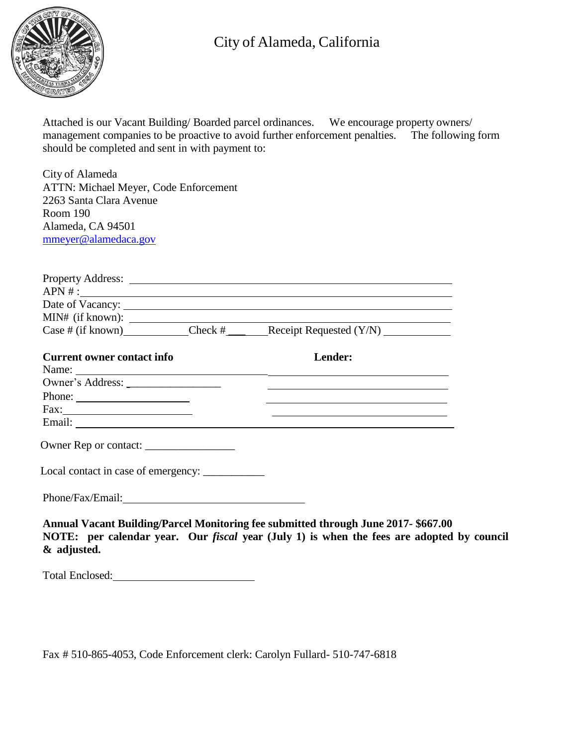

## City of Alameda, California

Attached is our Vacant Building/ Boarded parcel ordinances. We encourage property owners/ management companies to be proactive to avoid further enforcement penalties. The following form should be completed and sent in with payment to:

City of Alameda ATTN: Michael Meyer, Code Enforcement 2263 Santa Clara Avenue Room 190 Alameda, CA 94501 [mmeyer@alamedaca.gov](mailto:mmeyer@alamedaca.gov)

|                                    |  | Property Address: <u>International Contractor</u><br>APN #:                                                           |
|------------------------------------|--|-----------------------------------------------------------------------------------------------------------------------|
|                                    |  |                                                                                                                       |
| $MIN#$ (if known): $\qquad \qquad$ |  |                                                                                                                       |
|                                    |  | Case # (if known) Check # $\text{Receipt Required (Y/N)}$                                                             |
| <b>Current owner contact info</b>  |  | Lender:                                                                                                               |
|                                    |  |                                                                                                                       |
| Owner's Address:                   |  |                                                                                                                       |
|                                    |  |                                                                                                                       |
|                                    |  | <u> Alexander de la construcción de la construcción de la construcción de la construcción de la construcción de l</u> |
|                                    |  |                                                                                                                       |
|                                    |  |                                                                                                                       |
|                                    |  |                                                                                                                       |
|                                    |  |                                                                                                                       |
|                                    |  | Annual Vacant Building/Parcel Monitoring fee submitted through June 2017-\$667.00                                     |

**NOTE: per calendar year. Our** *fiscal* **year (July 1) is when the fees are adopted by council & adjusted.**

Total Enclosed:

Fax # 510-865-4053, Code Enforcement clerk: Carolyn Fullard- 510-747-6818